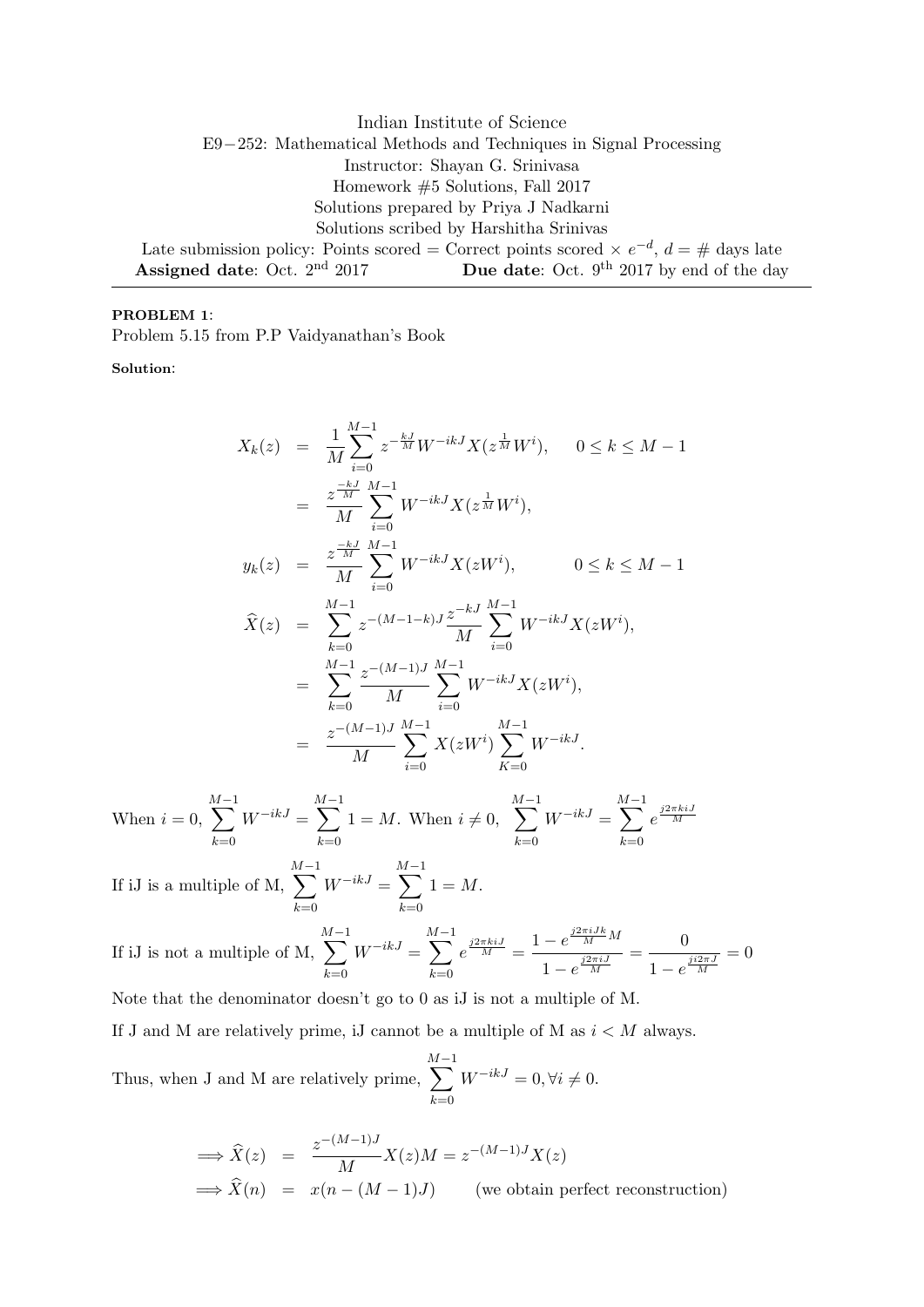Indian Institute of Science E9−252: Mathematical Methods and Techniques in Signal Processing Instructor: Shayan G. Srinivasa Homework #5 Solutions, Fall 2017 Solutions prepared by Priya J Nadkarni Solutions scribed by Harshitha Srinivas Late submission policy: Points scored = Correct points scored  $\times e^{-d}$ ,  $d = \#$  days late **Assigned date:** Oct.  $2^{nd}$  2017 **Due date:** Oct.  $9^{th}$  2017 by end of the day

## PROBLEM 1:

Problem 5.15 from P.P Vaidyanathan's Book

Solution:

$$
X_k(z) = \frac{1}{M} \sum_{i=0}^{M-1} z^{-\frac{kJ}{M}} W^{-ikJ} X(z^{\frac{1}{M}} W^i), \quad 0 \le k \le M - 1
$$
  
\n
$$
= \frac{z^{\frac{-kJ}{M}}}{M} \sum_{i=0}^{M-1} W^{-ikJ} X(z^{\frac{1}{M}} W^i),
$$
  
\n
$$
y_k(z) = \frac{z^{\frac{-kJ}{M}}}{M} \sum_{i=0}^{M-1} W^{-ikJ} X(z W^i), \quad 0 \le k \le M - 1
$$
  
\n
$$
\widehat{X}(z) = \sum_{k=0}^{M-1} z^{-(M-1-k)J} \frac{z^{-kJ}}{M} \sum_{i=0}^{M-1} W^{-ikJ} X(z W^i),
$$
  
\n
$$
= \sum_{k=0}^{M-1} \frac{z^{-(M-1)J}}{M} \sum_{i=0}^{M-1} W^{-ikJ} X(z W^i),
$$
  
\n
$$
= \frac{z^{-(M-1)J}}{M} \sum_{i=0}^{M-1} X(z W^i) \sum_{K=0}^{M-1} W^{-ikJ}.
$$

When  $i = 0$ ,  $\sum^{M-1}$  $_{k=0}$  $W^{-ikJ} =$  $\sum^{M-1}$  $k=0$  $1 = M$ . When  $i \neq 0$ ,  $\sum^{M-1}$  $k=0$  $W^{-ikJ} =$  $\sum^{M-1}$  $k=0$  $e^{\frac{j2\pi kiJ}{M}}$  $\sum^{M-1}$  $\sum^{M-1}$ 

If iJ is a multiple of M,  $_{k=0}$  $W^{-ikJ} =$  $k=0$  $1 = M$ .

If iJ is not a multiple of M, 
$$
\sum_{k=0}^{M-1} W^{-ikJ} = \sum_{k=0}^{M-1} e^{\frac{j2\pi i j}{M}} = \frac{1 - e^{\frac{j2\pi i J k}{M}}}{1 - e^{\frac{j2\pi i J}{M}}} = \frac{0}{1 - e^{\frac{j2\pi j}{M}}} = 0
$$

Note that the denominator doesn't go to 0 as iJ is not a multiple of M.

If J and M are relatively prime, iJ cannot be a multiple of M as  $i < M$  always.

Thus, when J and M are relatively prime,  $\sum^{M-1}$  $k=0$  $W^{-ikJ} = 0, \forall i \neq 0.$ 

$$
\implies \widehat{X}(z) = \frac{z^{-(M-1)J}}{M} X(z)M = z^{-(M-1)J} X(z)
$$
  

$$
\implies \widehat{X}(n) = x(n - (M-1)J) \qquad \text{(we obtain perfect reconstruction)}
$$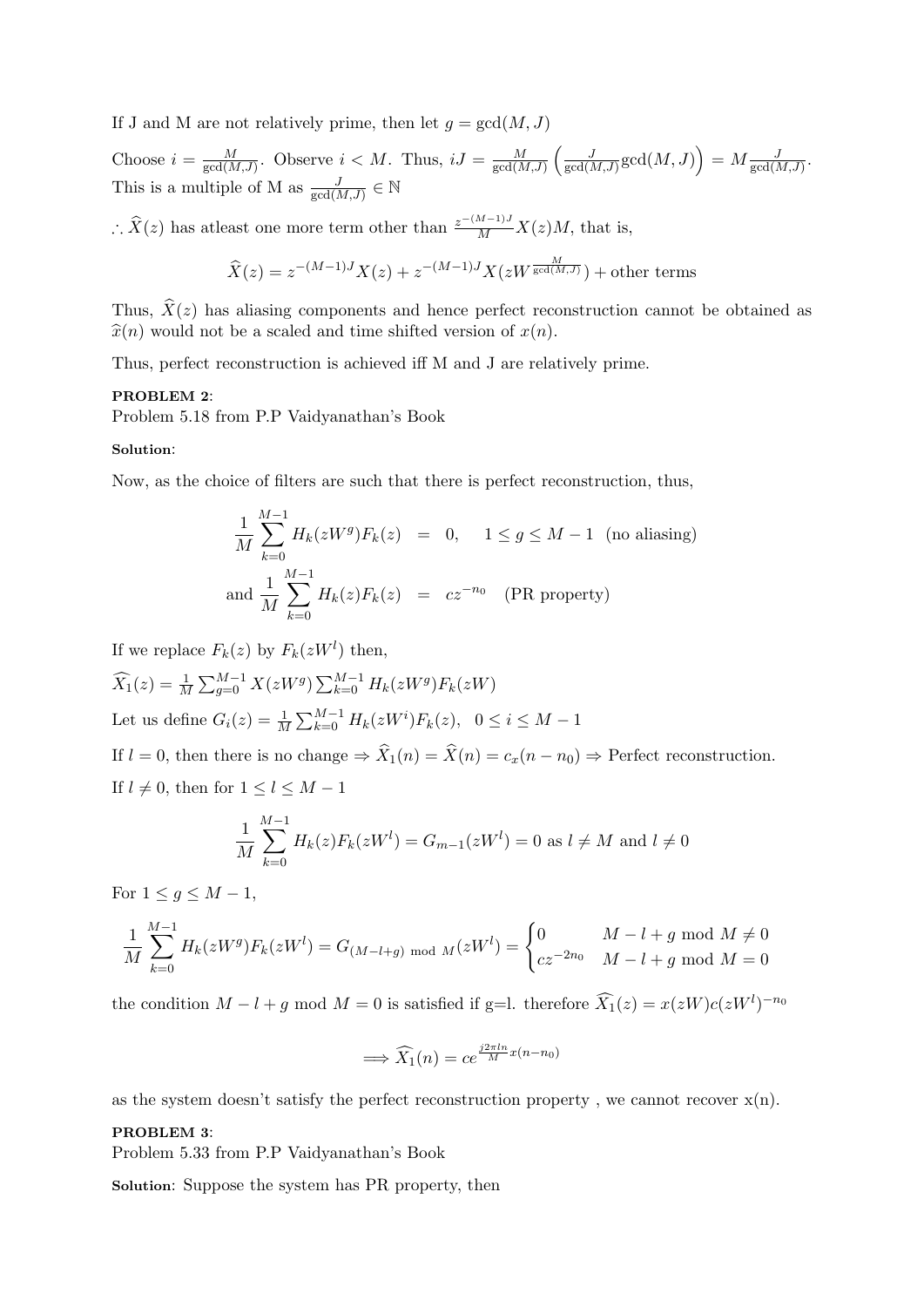If J and M are not relatively prime, then let  $g = \gcd(M, J)$ 

Choose  $i = \frac{M}{\gcd(\Lambda)}$  $\frac{M}{\gcd(M,J)}$ . Observe  $i < M$ . Thus,  $iJ = \frac{M}{\gcd(M)}$  $\frac{M}{\gcd(M,J)}\left(\frac{J}{\gcd(l)}\right)$  $\frac{J}{\text{gcd}(M,J)}\text{gcd}(M,J)\Big) = M\frac{J}{\text{gcd}(M,J)}.$ This is a multiple of M as  $\frac{J}{\gcd(M,J)} \in \mathbb{N}$ 

∴  $\hat{X}(z)$  has at least one more term other than  $\frac{z^{-(M-1)J}}{M}X(z)M$ , that is,

$$
\widehat{X}(z) = z^{-(M-1)J} X(z) + z^{-(M-1)J} X(zW^{\frac{M}{\gcd(M,J)}}) + \text{other terms}
$$

Thus,  $\hat{X}(z)$  has aliasing components and hence perfect reconstruction cannot be obtained as  $\hat{x}(n)$  would not be a scaled and time shifted version of  $x(n)$ .

Thus, perfect reconstruction is achieved iff M and J are relatively prime.

## PROBLEM 2:

Problem 5.18 from P.P Vaidyanathan's Book

## Solution:

Now, as the choice of filters are such that there is perfect reconstruction, thus,

$$
\frac{1}{M} \sum_{k=0}^{M-1} H_k(zW^g) F_k(z) = 0, \quad 1 \le g \le M - 1 \text{ (no aliasing)}
$$
  
and 
$$
\frac{1}{M} \sum_{k=0}^{M-1} H_k(z) F_k(z) = cz^{-n_0} \text{ (PR property)}
$$

If we replace  $F_k(z)$  by  $F_k(zW^l)$  then,

 $\widehat{X}_1(z) = \frac{1}{M} \sum_{g=0}^{M-1} X(zW^g) \sum_{k=0}^{M-1} H_k(zW^g) F_k(zW)$ Let us define  $G_i(z) = \frac{1}{M} \sum_{k=0}^{M-1} H_k(zW^i) F_k(z)$ ,  $0 \le i \le M - 1$ If  $l = 0$ , then there is no change  $\Rightarrow \hat{X}_1(n) = \hat{X}(n) = c_x(n - n_0) \Rightarrow$  Perfect reconstruction. If  $l \neq 0$ , then for  $1 \leq l \leq M-1$ 

$$
\frac{1}{M} \sum_{k=0}^{M-1} H_k(z) F_k(zW^l) = G_{m-1}(zW^l) = 0 \text{ as } l \neq M \text{ and } l \neq 0
$$

For  $1 \leq q \leq M-1$ ,

$$
\frac{1}{M} \sum_{k=0}^{M-1} H_k(zW^g) F_k(zW^l) = G_{(M-l+g) \mod M}(zW^l) = \begin{cases} 0 & M-l+g \mod M \neq 0\\ cz^{-2n_0} & M-l+g \mod M = 0 \end{cases}
$$

the condition  $M - l + g \mod M = 0$  is satisfied if g=l. therefore  $\widehat{X}_1(z) = x(zW)c(zW^l)^{-n_0}$ 

$$
\implies \widehat{X}_1(n) = ce^{\frac{j2\pi ln}{M}x(n-n_0)}
$$

as the system doesn't satisfy the perfect reconstruction property, we cannot recover  $x(n)$ .

## PROBLEM 3:

Problem 5.33 from P.P Vaidyanathan's Book

Solution: Suppose the system has PR property, then